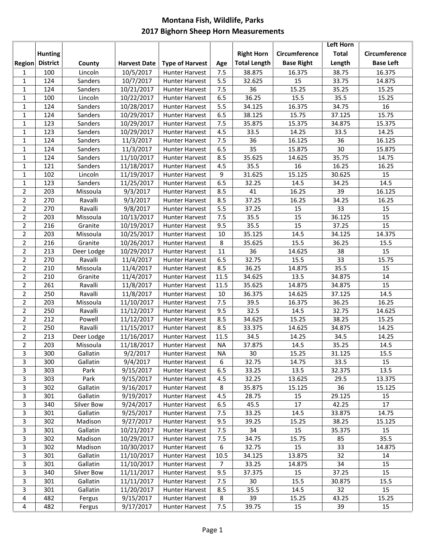## **Montana Fish, Wildlife, Parks 2017 Bighorn Sheep Horn Measurements**

|                |                 |                        |                          |                                  |                |                     |                   | <b>Left Horn</b> |                  |
|----------------|-----------------|------------------------|--------------------------|----------------------------------|----------------|---------------------|-------------------|------------------|------------------|
|                | <b>Hunting</b>  |                        |                          |                                  |                | <b>Right Horn</b>   | Circumference     | <b>Total</b>     | Circumference    |
| <b>Region</b>  | <b>District</b> | County                 | <b>Harvest Date</b>      | <b>Type of Harvest</b>           | Age            | <b>Total Length</b> | <b>Base Right</b> | Length           | <b>Base Left</b> |
| 1              | 100             | Lincoln                | 10/5/2017                | <b>Hunter Harvest</b>            | 7.5            | 38.875              | 16.375            | 38.75            | 16.375           |
| $\mathbf{1}$   | 124             | Sanders                | 10/7/2017                | <b>Hunter Harvest</b>            | 5.5            | 32.625              | 15                | 33.75            | 14.875           |
| $\mathbf{1}$   | 124             | Sanders                | 10/21/2017               | Hunter Harvest                   | 7.5            | 36                  | 15.25             | 35.25            | 15.25            |
| $\mathbf{1}$   | 100             | Lincoln                | 10/22/2017               | Hunter Harvest                   | 6.5            | 36.25               | 15.5              | 35.5             | 15.25            |
| 1              | 124             | Sanders                | 10/28/2017               | Hunter Harvest                   | 5.5            | 34.125              | 16.375            | 34.75            | 16               |
| $\mathbf{1}$   | 124             | Sanders                | 10/29/2017               | <b>Hunter Harvest</b>            | 6.5            | 38.125              | 15.75             | 37.125           | 15.75            |
| $\mathbf{1}$   | 123             | Sanders                | 10/29/2017               | Hunter Harvest                   | 7.5            | 35.875              | 15.375            | 34.875           | 15.375           |
| $\mathbf{1}$   | 123             | Sanders                | 10/29/2017               | <b>Hunter Harvest</b>            | 4.5            | 33.5                | 14.25             | 33.5             | 14.25            |
| $\mathbf{1}$   | 124             | Sanders                | 11/3/2017                | <b>Hunter Harvest</b>            | 7.5            | 36                  | 16.125            | 36               | 16.125           |
| $\mathbf{1}$   | 124             | Sanders                | 11/3/2017                | <b>Hunter Harvest</b>            | 6.5            | 35                  | 15.875            | 30               | 15.875           |
| $\mathbf{1}$   | 124             | Sanders                | 11/10/2017               | Hunter Harvest                   | 8.5            | 35.625              | 14.625            | 35.75            | 14.75            |
| $\mathbf{1}$   | 121             | Sanders                | 11/18/2017               | <b>Hunter Harvest</b>            | 4.5            | 35.5                | 16                | 16.25            | 16.25            |
| $\mathbf{1}$   | 102             | Lincoln                | 11/19/2017               | <b>Hunter Harvest</b>            | 9              | 31.625              | 15.125            | 30.625           | 15               |
| $\mathbf{1}$   | 123             | Sanders                | 11/25/2017               | Hunter Harvest                   | 6.5            | 32.25               | 14.5              | 34.25            | 14.5             |
| $\overline{2}$ | 203             | Missoula               | 9/3/2017                 | <b>Hunter Harvest</b>            | 8.5            | 41                  | 16.25             | 39               | 16.125           |
| $\overline{2}$ | 270             | Ravalli                | 9/3/2017                 | <b>Hunter Harvest</b>            | 8.5            | 37.25               | 16.25             | 34.25            | 16.25            |
| $\overline{2}$ | 270             | Ravalli                | 9/8/2017                 | <b>Hunter Harvest</b>            | 5.5            | 37.25               | 15                | 33               | 15               |
| $\overline{2}$ | 203             | Missoula               | 10/13/2017               | <b>Hunter Harvest</b>            | 7.5            | 35.5                | 15                | 36.125           | 15               |
| $\overline{2}$ | 216             | Granite                | 10/19/2017               | <b>Hunter Harvest</b>            | 9.5            | 35.5                | 15                | 37.25            | 15               |
| $\overline{2}$ | 203             | Missoula               | 10/25/2017               | <b>Hunter Harvest</b>            | 10             | 35.125              | 14.5              | 34.125           | 14.375           |
| $\overline{2}$ | 216             | Granite                | 10/26/2017               | <b>Hunter Harvest</b>            | 8              | 35.625              | 15.5              | 36.25            | 15.5             |
| $\overline{2}$ | 213             | Deer Lodge             | 10/29/2017               | <b>Hunter Harvest</b>            | 11             | 36                  | 14.625            | 38               | 15               |
| $\overline{2}$ | 270             | Ravalli                | 11/4/2017                | <b>Hunter Harvest</b>            | 6.5            | 32.75               | 15.5              | 33               | 15.75            |
| $\overline{2}$ | 210             | Missoula               | 11/4/2017                | <b>Hunter Harvest</b>            | 8.5            | 36.25               | 14.875            | 35.5             | 15               |
| $\overline{2}$ | 210             | Granite                | 11/4/2017                | <b>Hunter Harvest</b>            | 11.5           | 34.625              | 13.5              | 34.875           | 14               |
| $\overline{2}$ | 261             | Ravalli                | 11/8/2017                | <b>Hunter Harvest</b>            | 11.5           | 35.625              | 14.875            | 34.875           | 15               |
| $\overline{2}$ | 250             | Ravalli                | 11/8/2017                | <b>Hunter Harvest</b>            | 10             | 36.375              | 14.625            | 37.125           | 14.5             |
| $\overline{2}$ | 203             | Missoula               | 11/10/2017               | Hunter Harvest                   | 7.5            | 39.5                | 16.375            | 36.25            | 16.25            |
| $\overline{2}$ | 250             | Ravalli                | 11/12/2017               | Hunter Harvest                   | 9.5            | 32.5                | 14.5              | 32.75            | 14.625           |
| $\overline{2}$ | 212             | Powell                 | 11/12/2017               | <b>Hunter Harvest</b>            | 8.5            | 34.625              | 15.25             | 38.25            | 15.25            |
| $\overline{2}$ | 250             | Ravalli                | 11/15/2017               | <b>Hunter Harvest</b>            | 8.5            | 33.375              | 14.625            | 34.875           | 14.25            |
| $\overline{2}$ | 213             | Deer Lodge             | 11/16/2017               | <b>Hunter Harvest</b>            | 11.5           | 34.5                | 14.25             | 34.5             | 14.25            |
| $\overline{2}$ | 203             | Missoula               | 11/18/2017               | <b>Hunter Harvest</b>            | <b>NA</b>      | 37.875              | 14.5              | 35.25            | 14.5             |
| $\mathbf{3}$   | 300             | Gallatin               | 9/2/2017                 | <b>Hunter Harvest</b>            | <b>NA</b>      | 30                  | 15.25             | 31.125           | 15.5             |
| 3              | 300             | Gallatin               | 9/4/2017                 | Hunter Harvest                   | 6              | 32.75               | 14.75             | 33.5             | 15               |
| 3              | 303             | Park                   | 9/15/2017                | <b>Hunter Harvest</b>            | 6.5            | 33.25               | 13.5              | 32.375           | 13.5             |
| 3              | 303             | Park                   | 9/15/2017                | <b>Hunter Harvest</b>            | 4.5            | 32.25               | 13.625            | 29.5             | 13.375           |
| 3<br>3         | 302<br>301      | Gallatin               | 9/16/2017<br>9/19/2017   | <b>Hunter Harvest</b>            | 8              | 35.875              | 15.125            | 36               | 15.125           |
| 3              |                 | Gallatin               |                          | Hunter Harvest                   | 4.5            | 28.75               | 15                | 29.125           | 15               |
| 3              | 340             | Silver Bow<br>Gallatin | 9/24/2017                | Hunter Harvest<br>Hunter Harvest | 6.5<br>7.5     | 45.5<br>33.25       | 17<br>14.5        | 42.25<br>33.875  | 17<br>14.75      |
| 3              | 301<br>302      | Madison                | 9/25/2017<br>9/27/2017   | Hunter Harvest                   | 9.5            | 39.25               | 15.25             | 38.25            | 15.125           |
| 3              |                 | Gallatin               |                          |                                  |                |                     | 15                |                  |                  |
| 3              | 301<br>302      | Madison                | 10/21/2017<br>10/29/2017 | Hunter Harvest<br>Hunter Harvest | 7.5            | 34<br>34.75         | 15.75             | 35.375           | 15<br>35.5       |
| 3              | 302             | Madison                | 10/30/2017               | Hunter Harvest                   | 7.5<br>6       | 32.75               | 15                | 85<br>33         | 14.875           |
| 3              | 301             | Gallatin               | 11/10/2017               | <b>Hunter Harvest</b>            | 10.5           | 34.125              | 13.875            | 32               | 14               |
| 3              | 301             | Gallatin               | 11/10/2017               | Hunter Harvest                   | $\overline{7}$ | 33.25               | 14.875            | 34               | 15               |
| 3              | 340             | Silver Bow             | 11/11/2017               | Hunter Harvest                   | 9.5            | 37.375              | 15                | 37.25            | 15               |
| 3              | 301             | Gallatin               | 11/11/2017               | <b>Hunter Harvest</b>            | 7.5            | 30                  | 15.5              | 30.875           | 15.5             |
| 3              | 301             | Gallatin               | 11/20/2017               | <b>Hunter Harvest</b>            | 8.5            | 35.5                | 14.5              | 32               | 15               |
| 4              | 482             | Fergus                 | 9/15/2017                | <b>Hunter Harvest</b>            | $\,8\,$        | 39                  | 15.25             | 43.25            | 15.25            |
| 4              | 482             | Fergus                 | 9/17/2017                | <b>Hunter Harvest</b>            | 7.5            | 39.75               | 15                | 39               | 15               |
|                |                 |                        |                          |                                  |                |                     |                   |                  |                  |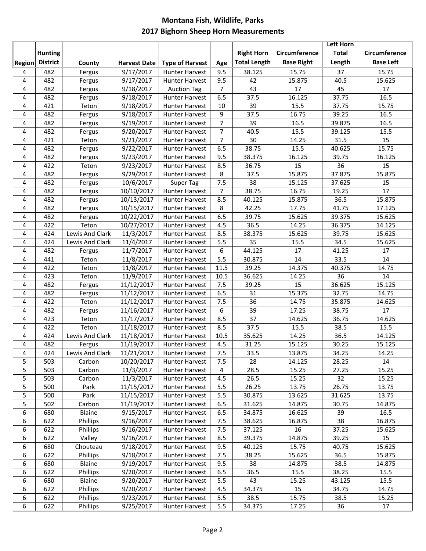## **Montana Fish, Wildlife, Parks 2017 Bighorn Sheep Horn Measurements**

|        |                 |                 |                     |                        |                |                     |                   | <b>Left Horn</b> |                      |
|--------|-----------------|-----------------|---------------------|------------------------|----------------|---------------------|-------------------|------------------|----------------------|
|        | <b>Hunting</b>  |                 |                     |                        |                | <b>Right Horn</b>   | Circumference     | <b>Total</b>     | <b>Circumference</b> |
| Region | <b>District</b> | County          | <b>Harvest Date</b> | <b>Type of Harvest</b> | Age            | <b>Total Length</b> | <b>Base Right</b> | Length           | <b>Base Left</b>     |
| 4      | 482             | Fergus          | 9/17/2017           | <b>Hunter Harvest</b>  | 9.5            | 38.125              | 15.75             | 37               | 15.75                |
| 4      | 482             | Fergus          | 9/17/2017           | <b>Hunter Harvest</b>  | 9.5            | 42                  | 15.875            | 40.5             | 15.625               |
| 4      | 482             | Fergus          | 9/18/2017           | <b>Auction Tag</b>     | $\overline{7}$ | 43                  | 17                | 45               | 17                   |
| 4      | 482             | Fergus          | 9/18/2017           | <b>Hunter Harvest</b>  | 6.5            | 37.5                | 16.125            | 37.75            | 16.5                 |
| 4      | 421             | Teton           | 9/18/2017           | <b>Hunter Harvest</b>  | 10             | 39                  | 15.5              | 37.75            | 15.75                |
| 4      | 482             | Fergus          | 9/18/2017           | <b>Hunter Harvest</b>  | 9              | 37.5                | 16.75             | 39.25            | 16.5                 |
| 4      | 482             | Fergus          | 9/19/2017           | <b>Hunter Harvest</b>  | $\overline{7}$ | 39                  | 16.5              | 39.875           | 16.5                 |
| 4      | 482             | Fergus          | 9/20/2017           | <b>Hunter Harvest</b>  | $\overline{7}$ | 40.5                | 15.5              | 39.125           | 15.5                 |
| 4      | 421             | Teton           | 9/21/2017           | <b>Hunter Harvest</b>  | $\overline{7}$ | 30                  | 14.25             | 31.5             | 15                   |
| 4      | 482             | Fergus          | 9/22/2017           | <b>Hunter Harvest</b>  | 6.5            | 38.75               | 15.5              | 40.625           | 15.75                |
| 4      | 482             | Fergus          | 9/23/2017           | <b>Hunter Harvest</b>  | 9.5            | 38.375              | 16.125            | 39.75            | 16.125               |
| 4      | 422             | Teton           | 9/23/2017           | <b>Hunter Harvest</b>  | 8.5            | 36.75               | 15                | 36               | 15                   |
| 4      | 482             | Fergus          | 9/29/2017           | <b>Hunter Harvest</b>  | 8              | 37.5                | 15.875            | 37.875           | 15.875               |
| 4      | 482             | Fergus          | 10/6/2017           | <b>Super Tag</b>       | 7.5            | 38                  | 15.125            | 37.625           | 15                   |
| 4      | 482             | Fergus          | 10/10/2017          | <b>Hunter Harvest</b>  | $\overline{7}$ | 38.75               | 16.75             | 19.25            | 17                   |
| 4      | 482             | Fergus          | 10/13/2017          | <b>Hunter Harvest</b>  | 8.5            | 40.125              | 15.875            | 36.5             | 15.875               |
| 4      | 482             | Fergus          | 10/15/2017          | <b>Hunter Harvest</b>  | 8              | 42.25               | 17.75             | 41.75            | 17.125               |
| 4      | 482             | Fergus          | 10/22/2017          | <b>Hunter Harvest</b>  | 6.5            | 39.75               | 15.625            | 39.375           | 15.625               |
| 4      | 422             | Teton           | 10/27/2017          | <b>Hunter Harvest</b>  | 4.5            | 36.5                | 14.25             | 36.375           | 14.125               |
| 4      | 424             | Lewis And Clark | 11/3/2017           | <b>Hunter Harvest</b>  | 8.5            | 38.375              | 15.625            | 39.75            | 15.625               |
| 4      | 424             | Lewis And Clark | 11/4/2017           | <b>Hunter Harvest</b>  | 5.5            | 35                  | 15.5              | 34.5             | 15.625               |
| 4      | 482             | Fergus          | 11/7/2017           | <b>Hunter Harvest</b>  | 6              | 44.125              | 17                | 41.25            | 17                   |
| 4      | 441             | Teton           | 11/8/2017           | <b>Hunter Harvest</b>  | 5.5            | 30.875              | 14                | 33.5             | 14                   |
| 4      | 422             | Teton           | 11/8/2017           | <b>Hunter Harvest</b>  | 11.5           | 39.25               | 14.375            | 40.375           | 14.75                |
| 4      | 423             | Teton           | 11/9/2017           | <b>Hunter Harvest</b>  | 10.5           | 36.625              | 14.25             | 36               | 14                   |
| 4      | 482             | Fergus          | 11/12/2017          | <b>Hunter Harvest</b>  | 7.5            | 39.25               | 15                | 36.625           | 15.125               |
| 4      | 482             | Fergus          | 11/12/2017          | <b>Hunter Harvest</b>  | 6.5            | 31                  | 15.375            | 32.75            | 14.75                |
| 4      | 422             | Teton           | 11/12/2017          | <b>Hunter Harvest</b>  | 7.5            | 36                  | 14.75             | 35.875           | 14.625               |
| 4      | 482             | Fergus          | 11/16/2017          | <b>Hunter Harvest</b>  | 6              | 39                  | 17.25             | 38.75            | 17                   |
| 4      | 423             | Teton           | 11/17/2017          | <b>Hunter Harvest</b>  | 8.5            | 37                  | 14.625            | 36.75            | 14.625               |
| 4      | 422             | Teton           | 11/18/2017          | <b>Hunter Harvest</b>  | 8.5            | 37.5                | 15.5              | 38.5             | 15.5                 |
| 4      | 424             | Lewis And Clark | 11/18/2017          | <b>Hunter Harvest</b>  | 10.5           | 35.625              | 14.25             | 36.5             | 14.125               |
| 4      | 482             | Fergus          | 11/19/2017          | <b>Hunter Harvest</b>  | 4.5            | 31.25               | 15.125            | 30.25            | 15.125               |
| 4      | 424             | Lewis And Clark | 11/21/2017          | Hunter Harvest         | $7.5$          | 33.5                | 13.875            | 34.25            | 14.25                |
| 5      | 503             | Carbon          | 10/20/2017          | <b>Hunter Harvest</b>  | 7.5            | 28                  | 14.125            | 28.25            | 14                   |
| 5      | 503             | Carbon          | 11/3/2017           | <b>Hunter Harvest</b>  | 4              | 28.5                | 15.25             | 27.25            | 15.25                |
| 5      | 503             | Carbon          | 11/3/2017           | Hunter Harvest         | 4.5            | 26.5                | 15.25             | 32               | 15.25                |
| 5      | 500             | Park            | 11/15/2017          | <b>Hunter Harvest</b>  | 5.5            | 26.25               | 13.75             | 26.75            | 13.75                |
| 5      | 500             | Park            | 11/15/2017          | <b>Hunter Harvest</b>  | 5.5            | 30.875              | 13.625            | 31.625           | 13.75                |
| 5      | 502             | Carbon          | 11/19/2017          | <b>Hunter Harvest</b>  | 6.5            | 31.625              | 14.875            | 30.75            | 14.875               |
| 6      | 680             | Blaine          | 9/15/2017           | Hunter Harvest         | 6.5            | 34.875              | 16.625            | 39               | 16.5                 |
| 6      | 622             | Phillips        | 9/16/2017           | Hunter Harvest         | 7.5            | 38.625              | 16.875            | 38               | 16.875               |
| 6      | 622             | Phillips        | 9/16/2017           | Hunter Harvest         | 7.5            | 37.125              | 16                | 37.25            | 15.625               |
| 6      | 622             | Valley          | 9/16/2017           | Hunter Harvest         | 8.5            | 39.375              | 14.875            | 39.25            | 15                   |
| 6      | 680             | Chouteau        | 9/18/2017           | Hunter Harvest         | 9.5            | 40.125              | 15.75             | 40.75            | 15.625               |
| 6      | 622             | Phillips        | 9/18/2017           | Hunter Harvest         | 7.5            | 38.25               | 15.625            | 36.5             | 15.875               |
| 6      | 680             | Blaine          | 9/19/2017           | Hunter Harvest         | 9.5            | 38                  | 14.875            | 38.5             | 14.875               |
| 6      | 622             | Phillips        | 9/20/2017           | Hunter Harvest         | 6.5            | 36.5                | 15.5              | 38.25            | 15.5                 |
| 6      | 680             | Blaine          | 9/20/2017           | Hunter Harvest         | 5.5            | 43                  | 15.25             | 43.125           | 15.5                 |
| 6      | 622             | Phillips        | 9/20/2017           | <b>Hunter Harvest</b>  | 4.5            | 34.375              | 15                | 34.75            | 14.75                |
| 6      | 622             | Phillips        | 9/23/2017           | <b>Hunter Harvest</b>  | 5.5            | 38.5                | 15.75             | 38.5             | 15.25                |
| 6      | 622             | Phillips        | 9/25/2017           | Hunter Harvest         | 5.5            | 34.375              | 17.25             | 36               | 17                   |